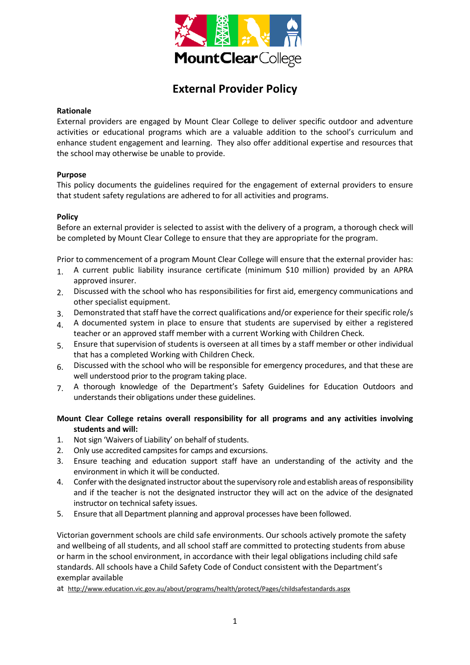

# **External Provider Policy**

#### **Rationale**

External providers are engaged by Mount Clear College to deliver specific outdoor and adventure activities or educational programs which are a valuable addition to the school's curriculum and enhance student engagement and learning. They also offer additional expertise and resources that the school may otherwise be unable to provide.

### **Purpose**

This policy documents the guidelines required for the engagement of external providers to ensure that student safety regulations are adhered to for all activities and programs.

### **Policy**

Before an external provider is selected to assist with the delivery of a program, a thorough check will be completed by Mount Clear College to ensure that they are appropriate for the program.

Prior to commencement of a program Mount Clear College will ensure that the external provider has:

- 1. A current public liability insurance certificate (minimum \$10 million) provided by an APRA approved insurer.
- 2. Discussed with the school who has responsibilities for first aid, emergency communications and other specialist equipment.
- 3. Demonstrated that staff have the correct qualifications and/or experience for their specific role/s
- 4. A documented system in place to ensure that students are supervised by either a registered teacher or an approved staff member with a current Working with Children Check.
- 5. Ensure that supervision of students is overseen at all times by a staff member or other individual that has a completed Working with Children Check.
- 6. Discussed with the school who will be responsible for emergency procedures, and that these are well understood prior to the program taking place.
- 7. A thorough knowledge of the Department's Safety Guidelines for Education Outdoors and understands their obligations under these guidelines.

## **Mount Clear College retains overall responsibility for all programs and any activities involving students and will:**

- 1. Not sign 'Waivers of Liability' on behalf of students.
- 2. Only use accredited campsites for camps and excursions.
- 3. Ensure teaching and education support staff have an understanding of the activity and the environment in which it will be conducted.
- 4. Confer with the designated instructor about the supervisory role and establish areas of responsibility and if the teacher is not the designated instructor they will act on the advice of the designated instructor on technical safety issues.
- 5. Ensure that all Department planning and approval processes have been followed.

Victorian government schools are child safe environments. Our schools actively promote the safety and wellbeing of all students, and all school staff are committed to protecting students from abuse or harm in the school environment, in accordance with their legal obligations including child safe standards. All schools have a Child Safety Code of Conduct consistent with the Department's exemplar available

at <http://www.education.vic.gov.au/about/programs/health/protect/Pages/childsafestandards.aspx>